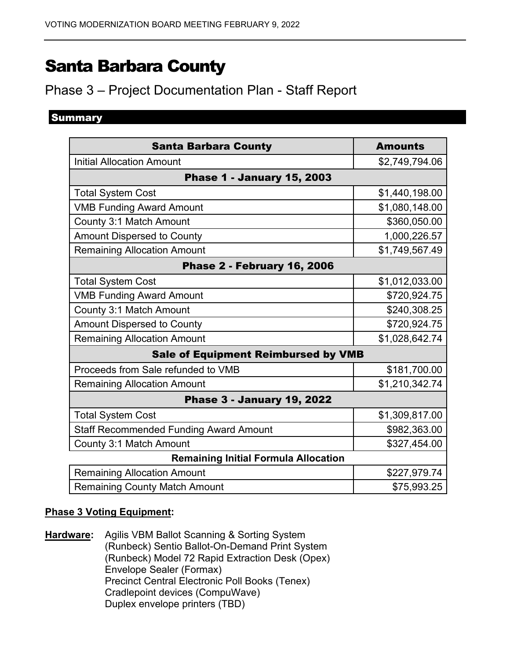# Santa Barbara County

# Phase 3 – Project Documentation Plan - Staff Report

# **Summary**

| <b>Santa Barbara County</b>                   | <b>Amounts</b> |
|-----------------------------------------------|----------------|
| <b>Initial Allocation Amount</b>              | \$2,749,794.06 |
| <b>Phase 1 - January 15, 2003</b>             |                |
| <b>Total System Cost</b>                      | \$1,440,198.00 |
| <b>VMB Funding Award Amount</b>               | \$1,080,148.00 |
| County 3:1 Match Amount                       | \$360,050.00   |
| <b>Amount Dispersed to County</b>             | 1,000,226.57   |
| <b>Remaining Allocation Amount</b>            | \$1,749,567.49 |
| <b>Phase 2 - February 16, 2006</b>            |                |
| <b>Total System Cost</b>                      | \$1,012,033.00 |
| <b>VMB Funding Award Amount</b>               | \$720,924.75   |
| County 3:1 Match Amount                       | \$240,308.25   |
| <b>Amount Dispersed to County</b>             | \$720,924.75   |
| <b>Remaining Allocation Amount</b>            | \$1,028,642.74 |
| <b>Sale of Equipment Reimbursed by VMB</b>    |                |
| Proceeds from Sale refunded to VMB            | \$181,700.00   |
| <b>Remaining Allocation Amount</b>            | \$1,210,342.74 |
| <b>Phase 3 - January 19, 2022</b>             |                |
| <b>Total System Cost</b>                      | \$1,309,817.00 |
| <b>Staff Recommended Funding Award Amount</b> | \$982,363.00   |
| County 3:1 Match Amount                       | \$327,454.00   |
| <b>Remaining Initial Formula Allocation</b>   |                |
| <b>Remaining Allocation Amount</b>            | \$227,979.74   |
| <b>Remaining County Match Amount</b>          | \$75,993.25    |

## **Phase 3 Voting Equipment:**

**Hardware:** Agilis VBM Ballot Scanning & Sorting System (Runbeck) Sentio Ballot-On-Demand Print System (Runbeck) Model 72 Rapid Extraction Desk (Opex) Envelope Sealer (Formax) Precinct Central Electronic Poll Books (Tenex) Cradlepoint devices (CompuWave) Duplex envelope printers (TBD)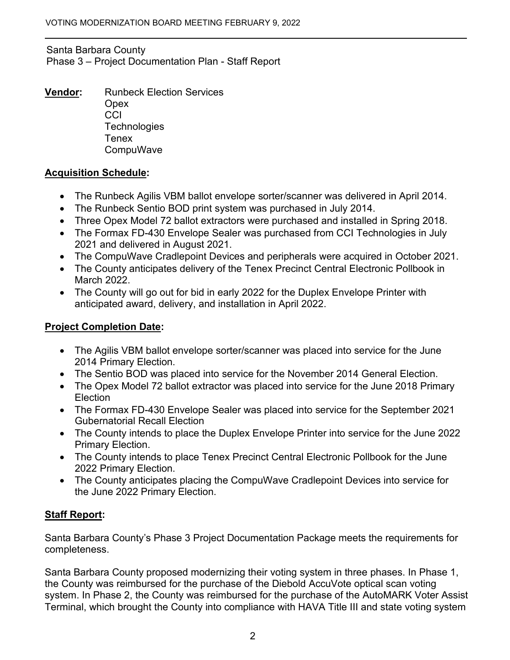#### Santa Barbara County Phase 3 – Project Documentation Plan - Staff Report

**Vendor:** Runbeck Election Services **Opex CCI Technologies Tenex** CompuWave

#### **Acquisition Schedule:**

- The Runbeck Agilis VBM ballot envelope sorter/scanner was delivered in April 2014.
- The Runbeck Sentio BOD print system was purchased in July 2014.
- Three Opex Model 72 ballot extractors were purchased and installed in Spring 2018.
- The Formax FD-430 Envelope Sealer was purchased from CCI Technologies in July 2021 and delivered in August 2021.
- The CompuWave Cradlepoint Devices and peripherals were acquired in October 2021.
- The County anticipates delivery of the Tenex Precinct Central Electronic Pollbook in March 2022.
- The County will go out for bid in early 2022 for the Duplex Envelope Printer with anticipated award, delivery, and installation in April 2022.

# **Project Completion Date:**

- The Agilis VBM ballot envelope sorter/scanner was placed into service for the June 2014 Primary Election.
- The Sentio BOD was placed into service for the November 2014 General Election.
- The Opex Model 72 ballot extractor was placed into service for the June 2018 Primary Election
- The Formax FD-430 Envelope Sealer was placed into service for the September 2021 Gubernatorial Recall Election
- The County intends to place the Duplex Envelope Printer into service for the June 2022 Primary Election.
- The County intends to place Tenex Precinct Central Electronic Pollbook for the June 2022 Primary Election.
- The County anticipates placing the CompuWave Cradlepoint Devices into service for the June 2022 Primary Election.

# **Staff Report:**

Santa Barbara County's Phase 3 Project Documentation Package meets the requirements for completeness.

Santa Barbara County proposed modernizing their voting system in three phases. In Phase 1, the County was reimbursed for the purchase of the Diebold AccuVote optical scan voting system. In Phase 2, the County was reimbursed for the purchase of the AutoMARK Voter Assist Terminal, which brought the County into compliance with HAVA Title III and state voting system